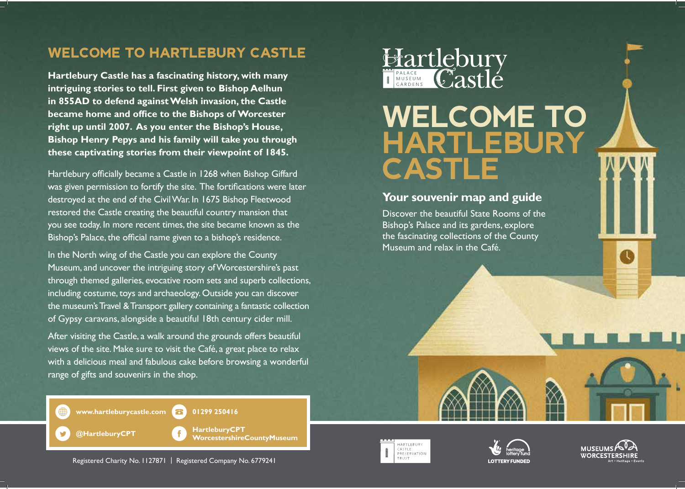## **WELCOME TO HARTLEBURY CASTLE**

**Hartlebury Castle has a fascinating history, with many intriguing stories to tell. First given to Bishop Aelhun in 855AD to defend against Welsh invasion, the Castle became home and office to the Bishops of Worcester right up until 2007. As you enter the Bishop's House, Bishop Henry Pepys and his family will take you through these captivating stories from their viewpoint of 1845.**

Hartlebury officially became a Castle in 1268 when Bishop Giffard was given permission to fortify the site. The fortifications were later destroyed at the end of the CivilWar. In 1675 Bishop Fleetwood restored the Castle creating the beautiful country mansion that you see today. In more recent times, the site became known as the Bishop's Palace, the official name given to a bishop's residence.

In the North wing of the Castle you can explore the County Museum, and uncover the intriguing story ofWorcestershire's past through themed galleries, evocative room sets and superb collections, including costume, toys and archaeology. Outside you can discover the museum's Travel & Transport gallery containing a fantastic collection of Gypsy caravans, alongside a beautiful 18th century cider mill.

After visiting the Castle, a walk around the grounds offers beautiful views of the site. Make sure to visit the Café, a great place to relax with a delicious meal and fabulous cake before browsing a wonderful range of gifts and souvenirs in the shop.



## WELCOME TO HARTLEBU CASTLE

## **Your souvenir map and guide**

Discover the beautiful State Rooms of the Bishop's Palace and its gardens, explore the fascinating collections of the County Museum and relax in the Café.







 **WorcestershireCountyMuseum**

**www.hartleburycastle.com 88** 01299 250416

**@HartleburyCPT HartleburyCPT**